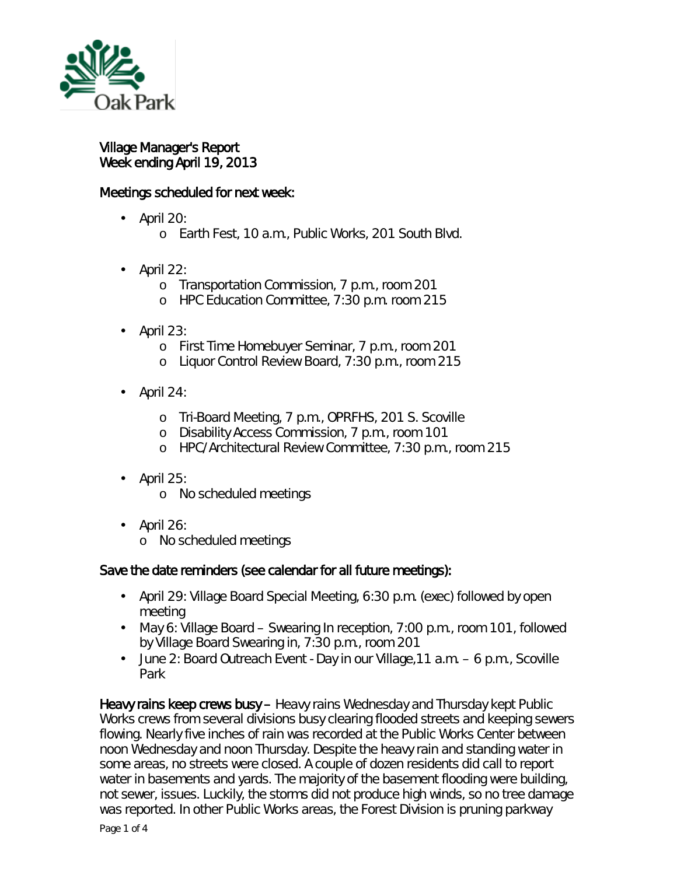

Village Manager's Report Week ending April 19, 2013

## Meetings scheduled for next week:

- l, April 20:
	- <sup>o</sup> Earth Fest, 10 a.m., Public Works, 201 South Blvd.
- April 22: ÷.
	- o Transportation Commission, 7 p.m., room 201
	- o HPC Education Committee, 7:30 p.m. room 215
- April 23: ä,
	- o First Time Homebuyer Seminar, 7 p.m., room 201
	- o Liquor Control Review Board, 7:30 p.m., room 215
- April 24: ä,
	- o Tri-Board Meeting, 7 p.m., OPRFHS, 201 S. Scoville
	- o Disability Access Commission, 7 p.m., room 101
	- o HPC/Architectural Review Committee, 7:30 p.m., room 215
- April 25:  $\blacksquare$ 
	- o No scheduled meetings
- April 26:
	- o No scheduled meetings

## Save the date reminders (see calendar for all future meetings):

- April 29: Village Board Special Meeting, 6:30 p.m. (exec) followed by open meeting
- May 6: Village Board Swearing In reception, 7:00 p.m., room 101, followed  $\mathbf{r}$ by Village Board Swearing in, 7:30 p.m., room 201
- June 2: Board Outreach Event Day in our Village,11 a.m. 6 p.m., Scoville  $\mathbf{r}$ Park

Heavy rains keep crews busy – Heavy rains Wednesday and Thursday kept Public Works crews from several divisions busy clearing flooded streets and keeping sewers flowing. Nearly five inches of rain was recorded at the Public Works Center between noon Wednesday and noon Thursday. Despite the heavy rain and standing water in some areas, no streets were closed. A couple of dozen residents did call to report water in basements and yards. The majority of the basement flooding were building, not sewer, issues. Luckily, the storms did not produce high winds, so no tree damage was reported. In other Public Works areas, the Forest Division is pruning parkway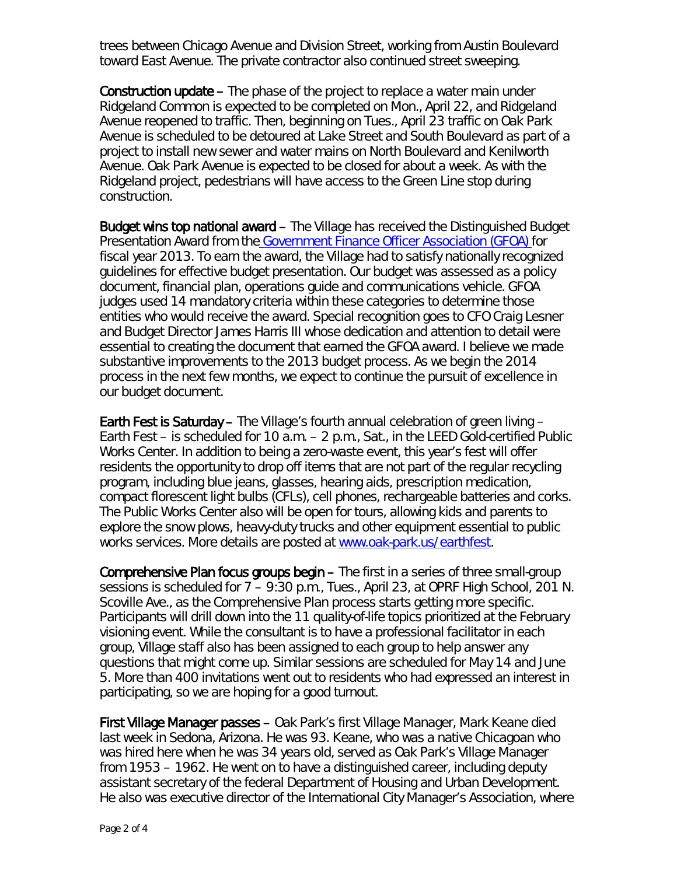trees between Chicago Avenue and Division Street, working from Austin Boulevard toward East Avenue. The private contractor also continued street sweeping.

Construction update – The phase of the project to replace a water main under Ridgeland Common is expected to be completed on Mon., April 22, and Ridgeland Avenue reopened to traffic. Then, beginning on Tues., April 23 traffic on Oak Park Avenue is scheduled to be detoured at Lake Street and South Boulevard as part of a project to install new sewer and water mains on North Boulevard and Kenilworth Avenue. Oak Park Avenue is expected to be closed for about a week. As with the Ridgeland project, pedestrians will have access to the Green Line stop during construction.

Budget wins top national award – The Village has received the Distinguished Budget Presentation Award from the [Government Finance Officer Association \(GFOA\)](http://www.gfoa.org/index.php?option=com_content&task=view&id=76&Itemid=96) for fiscal year 2013. To earn the award, the Village had to satisfy nationally recognized guidelines for effective budget presentation. Our budget was assessed as a policy document, financial plan, operations guide and communications vehicle. GFOA judges used 14 mandatory criteria within these categories to determine those entities who would receive the award. Special recognition goes to CFO Craig Lesner and Budget Director James Harris III whose dedication and attention to detail were essential to creating the document that earned the GFOA award. I believe we made substantive improvements to the 2013 budget process. As we begin the 2014 process in the next few months, we expect to continue the pursuit of excellence in our budget document.

Earth Fest is Saturday – The Village's fourth annual celebration of green living – Earth Fest – is scheduled for 10 a.m. – 2 p.m., Sat., in the LEED Gold-certified Public Works Center. In addition to being a zero-waste event, this year's fest will offer residents the opportunity to drop off items that are not part of the regular recycling program, including blue jeans, glasses, hearing aids, prescription medication, compact florescent light bulbs (CFLs), cell phones, rechargeable batteries and corks. The Public Works Center also will be open for tours, allowing kids and parents to explore the snow plows, heavy-duty trucks and other equipment essential to public works services. More details are posted at [www.oak-park.us/earthfest.](http://www.oak-park.us/earthfest)

Comprehensive Plan focus groups begin – The first in a series of three small-group sessions is scheduled for 7 – 9:30 p.m., Tues., April 23, at OPRF High School, 201 N. Scoville Ave., as the Comprehensive Plan process starts getting more specific. Participants will drill down into the 11 quality-of-life topics prioritized at the February visioning event. While the consultant is to have a professional facilitator in each group, Village staff also has been assigned to each group to help answer any questions that might come up. Similar sessions are scheduled for May 14 and June 5. More than 400 invitations went out to residents who had expressed an interest in participating, so we are hoping for a good turnout.

First Village Manager passes – Oak Park's first Village Manager, Mark Keane died last week in Sedona, Arizona. He was 93. Keane, who was a native Chicagoan who was hired here when he was 34 years old, served as Oak Park's Village Manager from 1953 – 1962. He went on to have a distinguished career, including deputy assistant secretary of the federal Department of Housing and Urban Development. He also was executive director of the International City Manager's Association, where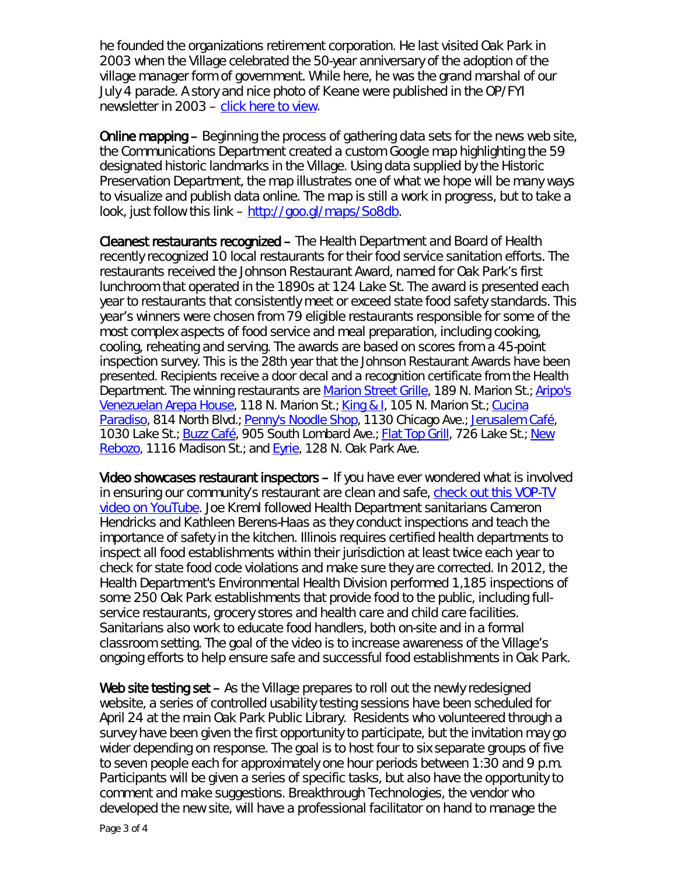he founded the organizations retirement corporation. He last visited Oak Park in 2003 when the Village celebrated the 50-year anniversary of the adoption of the village manager form of government. While here, he was the grand marshal of our July 4 parade. A story and nice photo of Keane were published in the OP/FYI newsletter in 2003 – [click here to view.](http://www.oak-park.us/456678891/keane-July%202003%20OPFYI.pdf)

Online mapping – Beginning the process of gathering data sets for the news web site, the Communications Department created a custom Google map highlighting the 59 designated historic landmarks in the Village. Using data supplied by the Historic Preservation Department, the map illustrates one of what we hope will be many ways to visualize and publish data online. The map is still a work in progress, but to take a look, just follow this link – [http://goo.gl/maps/So8db.](http://goo.gl/maps/So8db)

Cleanest restaurants recognized – The Health Department and Board of Health recently recognized 10 local restaurants for their food service sanitation efforts. The restaurants received the Johnson Restaurant Award, named for Oak Park's first lunchroom that operated in the 1890s at 124 Lake St. The award is presented each year to restaurants that consistently meet or exceed state food safety standards. This year's winners were chosen from 79 eligible restaurants responsible for some of the most complex aspects of food service and meal preparation, including cooking, cooling, reheating and serving. The awards are based on scores from a 45-point inspection survey. This is the 28th year that the Johnson Restaurant Awards have been presented. Recipients receive a door decal and a recognition certificate from the Health Department. The winning restaurants are [Marion Street Grille,](http://www.marionstreetgrille.com/) 189 N. Marion St.; [Aripo's](http://www.aripos.com/)  [Venezuelan Arepa House,](http://www.aripos.com/) 118 N. Marion St.; [King & I,](http://www.kingandioakpark.com/) 105 N. Marion St.; Cucina [Paradiso,](http://www.cucinaoakpark.com/) 814 North Blvd.; [Penny's Noodle Shop,](http://www.pennysnoodleshopoakpark.com/) 1130 Chicago Ave.; [Jerusalem Café,](http://www.jerusalemcafe-oakpark.com/) 1030 Lake St.; [Buzz Café,](http://thebuzzcafe.com/) 905 South Lombard Ave.; [Flat Top Grill,](http://flattopgrill.com/index.html) 726 Lake St.; [New](http://newrebozo.com/)  [Rebozo,](http://newrebozo.com/) 1116 Madison St.; and [Eyrie,](http://www.robertmorris.edu/eyrie/) 128 N. Oak Park Ave.

Video showcases restaurant inspectors – If you have ever wondered what is involved in ensuring our community's restaurant are clean and safe, [check out this VOP-TV](http://www.youtube.com/vopnews)  [video on YouTube.](http://www.youtube.com/vopnews) Joe Kreml followed Health Department sanitarians Cameron Hendricks and Kathleen Berens-Haas as they conduct inspections and teach the importance of safety in the kitchen. Illinois requires certified health departments to inspect all food establishments within their jurisdiction at least twice each year to check for state food code violations and make sure they are corrected. In 2012, the Health Department's Environmental Health Division performed 1,185 inspections of some 250 Oak Park establishments that provide food to the public, including fullservice restaurants, grocery stores and health care and child care facilities. Sanitarians also work to educate food handlers, both on-site and in a formal classroom setting. The goal of the video is to increase awareness of the Village's ongoing efforts to help ensure safe and successful food establishments in Oak Park.

Web site testing set – As the Village prepares to roll out the newly redesigned website, a series of controlled usability testing sessions have been scheduled for April 24 at the main Oak Park Public Library. Residents who volunteered through a survey have been given the first opportunity to participate, but the invitation may go wider depending on response. The goal is to host four to six separate groups of five to seven people each for approximately one hour periods between 1:30 and 9 p.m. Participants will be given a series of specific tasks, but also have the opportunity to comment and make suggestions. Breakthrough Technologies, the vendor who developed the new site, will have a professional facilitator on hand to manage the